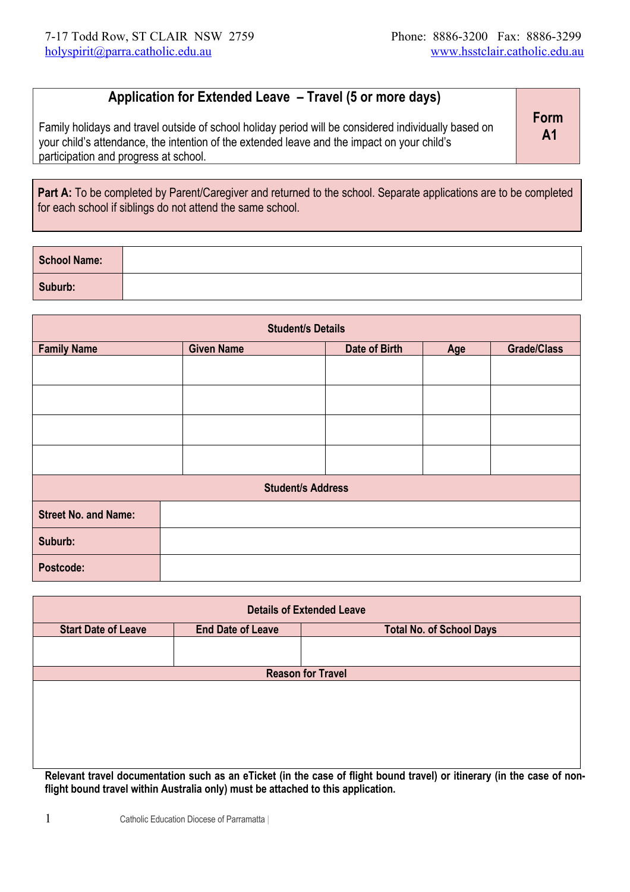## **Application for Extended Leave – Travel (5 or more days)**

Family holidays and travel outside of school holiday period will be considered individually based on your child's attendance, the intention of the extended leave and the impact on your child's participation and progress at school.

**Form A1**

Part A: To be completed by Parent/Caregiver and returned to the school. Separate applications are to be completed for each school if siblings do not attend the same school.

| School Name: |  |
|--------------|--|
| Suburb:      |  |

| <b>Student/s Details</b>    |                   |               |     |                    |  |
|-----------------------------|-------------------|---------------|-----|--------------------|--|
| <b>Family Name</b>          | <b>Given Name</b> | Date of Birth | Age | <b>Grade/Class</b> |  |
|                             |                   |               |     |                    |  |
|                             |                   |               |     |                    |  |
|                             |                   |               |     |                    |  |
|                             |                   |               |     |                    |  |
| <b>Student/s Address</b>    |                   |               |     |                    |  |
| <b>Street No. and Name:</b> |                   |               |     |                    |  |
| Suburb:                     |                   |               |     |                    |  |
| Postcode:                   |                   |               |     |                    |  |

| <b>Details of Extended Leave</b> |                          |                                                                                                                       |  |
|----------------------------------|--------------------------|-----------------------------------------------------------------------------------------------------------------------|--|
| <b>Start Date of Leave</b>       | <b>End Date of Leave</b> | <b>Total No. of School Days</b>                                                                                       |  |
|                                  |                          |                                                                                                                       |  |
|                                  |                          |                                                                                                                       |  |
| <b>Reason for Travel</b>         |                          |                                                                                                                       |  |
|                                  |                          |                                                                                                                       |  |
|                                  |                          |                                                                                                                       |  |
|                                  |                          |                                                                                                                       |  |
|                                  |                          |                                                                                                                       |  |
|                                  |                          |                                                                                                                       |  |
|                                  |                          |                                                                                                                       |  |
|                                  |                          | Delayent travel description and so an aTisket (in the seas of flight hannel travel) or itingress, (in the seas of nor |  |

**Relevant travel documentation such as an eTicket (in the case of flight bound travel) or itinerary (in the case of nonflight bound travel within Australia only) must be attached to this application.**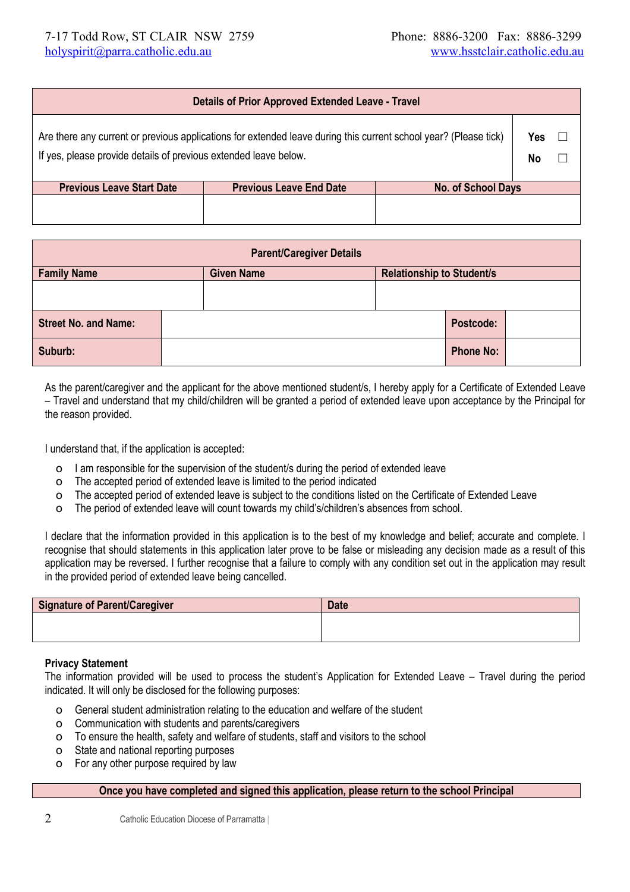| <b>Details of Prior Approved Extended Leave - Travel</b>                                                                                                                             |                                |                    |           |  |
|--------------------------------------------------------------------------------------------------------------------------------------------------------------------------------------|--------------------------------|--------------------|-----------|--|
| Are there any current or previous applications for extended leave during this current school year? (Please tick)<br>If yes, please provide details of previous extended leave below. |                                |                    | Yes<br>No |  |
| <b>Previous Leave Start Date</b>                                                                                                                                                     | <b>Previous Leave End Date</b> | No. of School Days |           |  |
|                                                                                                                                                                                      |                                |                    |           |  |

| <b>Parent/Caregiver Details</b> |  |                   |                                  |                  |  |
|---------------------------------|--|-------------------|----------------------------------|------------------|--|
| <b>Family Name</b>              |  | <b>Given Name</b> | <b>Relationship to Student/s</b> |                  |  |
|                                 |  |                   |                                  |                  |  |
| <b>Street No. and Name:</b>     |  |                   |                                  | Postcode:        |  |
| Suburb:                         |  |                   |                                  | <b>Phone No:</b> |  |

As the parent/caregiver and the applicant for the above mentioned student/s, I hereby apply for a Certificate of Extended Leave – Travel and understand that my child/children will be granted a period of extended leave upon acceptance by the Principal for the reason provided.

I understand that, if the application is accepted:

- o I am responsible for the supervision of the student/s during the period of extended leave
- o The accepted period of extended leave is limited to the period indicated
- o The accepted period of extended leave is subject to the conditions listed on the Certificate of Extended Leave
- o The period of extended leave will count towards my child's/children's absences from school.

I declare that the information provided in this application is to the best of my knowledge and belief; accurate and complete. I recognise that should statements in this application later prove to be false or misleading any decision made as a result of this application may be reversed. I further recognise that a failure to comply with any condition set out in the application may result in the provided period of extended leave being cancelled.

| Signature of Parent/Caregiver | <b>Date</b> |
|-------------------------------|-------------|
|                               |             |
|                               |             |

## **Privacy Statement**

The information provided will be used to process the student's Application for Extended Leave – Travel during the period indicated. It will only be disclosed for the following purposes:

- o General student administration relating to the education and welfare of the student
- o Communication with students and parents/caregivers
- o To ensure the health, safety and welfare of students, staff and visitors to the school
- o State and national reporting purposes
- o For any other purpose required by law

## **Once you have completed and signed this application, please return to the school Principal**